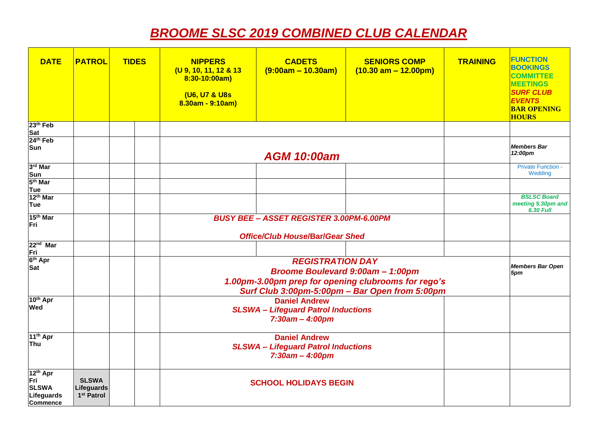## *BROOME SLSC 2019 COMBINED CLUB CALENDAR*

| <b>DATE</b>                                                                  | <b>PATROL</b>                                        | <b>TIDES</b> | <b>NIPPERS</b><br>(U 9, 10, 11, 12 & 13<br>8:30-10:00am)<br>(U6, U7 & U8s<br>$8.30am - 9:10am$ | <b>CADETS</b><br>$(9:00am - 10.30am)$                                                                                                                                       | <b>SENIORS COMP</b><br>$(10.30 \text{ am} - 12.00 \text{pm})$ | <b>TRAINING</b> | <b>FUNCTION</b><br><b>BOOKINGS</b><br><b>COMMITTEE</b><br><b>MEETINGS</b><br><b>SURF CLUB</b><br><b>EVENTS</b><br><b>BAR OPENING</b><br><b>HOURS</b> |
|------------------------------------------------------------------------------|------------------------------------------------------|--------------|------------------------------------------------------------------------------------------------|-----------------------------------------------------------------------------------------------------------------------------------------------------------------------------|---------------------------------------------------------------|-----------------|------------------------------------------------------------------------------------------------------------------------------------------------------|
| 23 <sup>th</sup> Feb                                                         |                                                      |              |                                                                                                |                                                                                                                                                                             |                                                               |                 |                                                                                                                                                      |
| Sat<br>24 <sup>th</sup> Feb<br>Sun                                           |                                                      |              |                                                                                                | <b>AGM 10:00am</b>                                                                                                                                                          |                                                               |                 | <b>Members Bar</b><br>12:00pm                                                                                                                        |
| 3rd Mar                                                                      |                                                      |              |                                                                                                |                                                                                                                                                                             |                                                               |                 | <b>Private Function -</b><br>Wedding                                                                                                                 |
| Sun<br>5 <sup>th</sup> Mar                                                   |                                                      |              |                                                                                                |                                                                                                                                                                             |                                                               |                 |                                                                                                                                                      |
| Tue<br>12 <sup>th</sup> Mar<br>Tue                                           |                                                      |              |                                                                                                |                                                                                                                                                                             |                                                               |                 | <b>BSLSC Board</b><br>meeting 5.30pm and<br><b>6.30 Full</b>                                                                                         |
| 15 <sup>th</sup> Mar<br>Fri                                                  |                                                      |              |                                                                                                | <b>BUSY BEE - ASSET REGISTER 3.00PM-6.00PM</b><br><b>Office/Club House/Bar/Gear Shed</b>                                                                                    |                                                               |                 |                                                                                                                                                      |
| 22 <sup>nd</sup> Mar                                                         |                                                      |              |                                                                                                |                                                                                                                                                                             |                                                               |                 |                                                                                                                                                      |
| Fri<br>6 <sup>th</sup> Apr<br>Sat                                            |                                                      |              |                                                                                                | <b>REGISTRATION DAY</b><br><b>Broome Boulevard 9:00am - 1:00pm</b><br>1.00pm-3.00pm prep for opening clubrooms for rego's<br>Surf Club 3:00pm-5:00pm - Bar Open from 5:00pm |                                                               |                 |                                                                                                                                                      |
| 10 <sup>th</sup> Apr<br>Wed                                                  |                                                      |              | <b>Daniel Andrew</b><br><b>SLSWA - Lifeguard Patrol Inductions</b><br>$7:30$ am - 4:00pm       |                                                                                                                                                                             |                                                               |                 |                                                                                                                                                      |
| 11 <sup>th</sup> Apr<br>Thu                                                  |                                                      |              |                                                                                                | <b>Daniel Andrew</b><br><b>SLSWA - Lifeguard Patrol Inductions</b><br>$7:30am - 4:00pm$                                                                                     |                                                               |                 |                                                                                                                                                      |
| 12 <sup>th</sup> Apr<br>Fri<br><b>SLSWA</b><br>Lifeguards<br><b>Commence</b> | <b>SLSWA</b><br>Lifeguards<br>1 <sup>st</sup> Patrol |              |                                                                                                | <b>SCHOOL HOLIDAYS BEGIN</b>                                                                                                                                                |                                                               |                 |                                                                                                                                                      |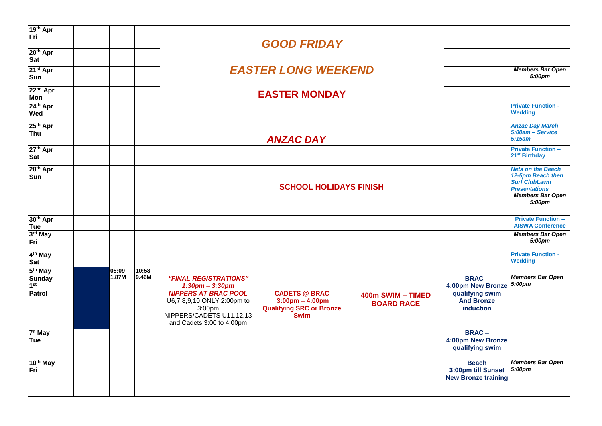| 10 <sup>th</sup> May<br>Fri                                       |                |                |                                                                                                                                                                                            |                                                                                                                                                                 |                                        | <b>Beach</b><br>3:00pm till Sunset<br><b>New Bronze training</b>                       | <b>Members Bar Open</b><br>5:00pm                            |
|-------------------------------------------------------------------|----------------|----------------|--------------------------------------------------------------------------------------------------------------------------------------------------------------------------------------------|-----------------------------------------------------------------------------------------------------------------------------------------------------------------|----------------------------------------|----------------------------------------------------------------------------------------|--------------------------------------------------------------|
| 7 <sup>h</sup> May<br>Tue                                         |                |                |                                                                                                                                                                                            |                                                                                                                                                                 |                                        | <b>BRAC-</b><br>4:00pm New Bronze<br>qualifying swim                                   |                                                              |
| 5 <sup>th</sup> May<br><b>Sunday</b><br>1 <sup>st</sup><br>Patrol | 05:09<br>1.87M | 10:58<br>9.46M | "FINAL REGISTRATIONS"<br>$1:30$ pm - $3:30$ pm<br><b>NIPPERS AT BRAC POOL</b><br>U6,7,8,9,10 ONLY 2:00pm to<br>3:00 <sub>pm</sub><br>NIPPERS/CADETS U11,12,13<br>and Cadets 3:00 to 4:00pm | <b>CADETS @ BRAC</b><br>$3:00 \text{pm} - 4:00 \text{pm}$<br><b>Qualifying SRC or Bronze</b><br><b>Swim</b>                                                     | 400m SWIM - TIMED<br><b>BOARD RACE</b> | <b>BRAC-</b><br>4:00pm New Bronze<br>qualifying swim<br><b>And Bronze</b><br>induction | <b>Members Bar Open</b><br>5:00pm                            |
| 4 <sup>th</sup> May<br>Sat                                        |                |                |                                                                                                                                                                                            |                                                                                                                                                                 |                                        |                                                                                        | <b>Private Function -</b><br><b>Wedding</b>                  |
| Tue<br>3 <sup>rd</sup> May<br>Fri                                 |                |                |                                                                                                                                                                                            |                                                                                                                                                                 |                                        |                                                                                        | <b>AISWA Conference</b><br><b>Members Bar Open</b><br>5:00pm |
| 28 <sup>th</sup> Apr<br>Sun<br>30 <sup>th</sup> Apr               |                |                |                                                                                                                                                                                            | <b>Nets on the Beach</b><br>12-5pm Beach then<br><b>Surf ClubLawn</b><br><b>Presentations</b><br><b>Members Bar Open</b><br>5:00pm<br><b>Private Function -</b> |                                        |                                                                                        |                                                              |
| 27 <sup>th</sup> Apr<br>Sat                                       |                |                |                                                                                                                                                                                            |                                                                                                                                                                 |                                        |                                                                                        | <b>Private Function -</b><br>21 <sup>st</sup> Birthday       |
| 25 <sup>th</sup> Apr<br>Thu                                       |                |                |                                                                                                                                                                                            | <b>ANZAC DAY</b>                                                                                                                                                |                                        |                                                                                        | <b>Anzac Day March</b><br>5:00am - Service<br>5:15am         |
| 24th Apr<br><b>Wed</b>                                            |                |                |                                                                                                                                                                                            |                                                                                                                                                                 |                                        |                                                                                        | <b>Private Function -</b><br><b>Wedding</b>                  |
| 22 <sup>nd</sup> Apr<br><b>Mon</b>                                |                |                |                                                                                                                                                                                            | <b>EASTER MONDAY</b>                                                                                                                                            |                                        |                                                                                        |                                                              |
| 21 <sup>st</sup> Apr<br>Sun                                       |                |                |                                                                                                                                                                                            | <b>EASTER LONG WEEKEND</b>                                                                                                                                      |                                        |                                                                                        | <b>Members Bar Open</b><br>5:00pm                            |
| 20 <sup>th</sup> Apr<br>Sat                                       |                |                |                                                                                                                                                                                            |                                                                                                                                                                 |                                        |                                                                                        |                                                              |
| 19th Apr<br>Fri                                                   |                |                |                                                                                                                                                                                            |                                                                                                                                                                 |                                        |                                                                                        |                                                              |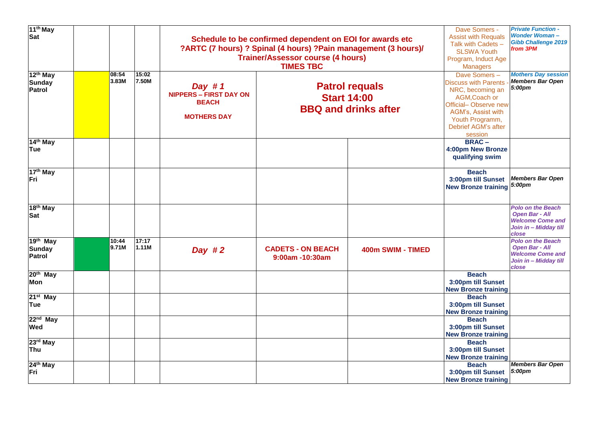| 11 <sup>th</sup> May<br><b>Sat</b>                     |                |                | Schedule to be confirmed dependent on EOI for awards etc<br>?ARTC (7 hours) ? Spinal (4 hours) ?Pain management (3 hours)/<br><b>Trainer/Assessor course (4 hours)</b> | Dave Somers -<br><b>Assist with Requals</b><br>Talk with Cadets -<br><b>SLSWA Youth</b><br>Program, Induct Age<br><b>Managers</b> | <b>Private Function -</b><br><b>Wonder Woman-</b><br><b>Gibb Challenge 2019</b><br>from 3PM |                                                                                                                                                                                     |                                                                                                                |
|--------------------------------------------------------|----------------|----------------|------------------------------------------------------------------------------------------------------------------------------------------------------------------------|-----------------------------------------------------------------------------------------------------------------------------------|---------------------------------------------------------------------------------------------|-------------------------------------------------------------------------------------------------------------------------------------------------------------------------------------|----------------------------------------------------------------------------------------------------------------|
| 12 <sup>th</sup> May<br><b>Sunday</b><br><b>Patrol</b> | 08:54<br>3.83M | 15:02<br>7.50M | Day #1<br><b>NIPPERS - FIRST DAY ON</b><br><b>BEACH</b><br><b>MOTHERS DAY</b>                                                                                          | <b>TIMES TBC</b><br><b>Patrol requals</b><br><b>Start 14:00</b><br><b>BBQ and drinks after</b>                                    |                                                                                             | Dave Somers-<br><b>Discuss with Parents</b><br>NRC, becoming an<br>AGM, Coach or<br>Official-Observe new<br>AGM's, Assist with<br>Youth Programm,<br>Debrief AGM's after<br>session | <b>Mothers Day session</b><br><b>Members Bar Open</b><br>5:00pm                                                |
| 14 <sup>th</sup> May<br>Tue                            |                |                |                                                                                                                                                                        |                                                                                                                                   |                                                                                             | <b>BRAC-</b><br>4:00pm New Bronze<br>qualifying swim                                                                                                                                |                                                                                                                |
| 17 <sup>th</sup> May<br>Fri                            |                |                |                                                                                                                                                                        |                                                                                                                                   |                                                                                             | <b>Beach</b><br>3:00pm till Sunset<br>New Bronze training 5:00pm                                                                                                                    | <b>Members Bar Open</b>                                                                                        |
| 18 <sup>th</sup> May<br><b>Sat</b>                     |                |                |                                                                                                                                                                        |                                                                                                                                   |                                                                                             |                                                                                                                                                                                     | <b>Polo on the Beach</b><br><b>Open Bar - All</b><br><b>Welcome Come and</b><br>Join in - Midday till<br>close |
| 19th May<br><b>Sunday</b><br>Patrol                    | 10:44<br>9.71M | 17:17<br>1.11M | Day $#2$                                                                                                                                                               | <b>CADETS - ON BEACH</b><br>$9:00$ am -10:30am                                                                                    | 400m SWIM - TIMED                                                                           |                                                                                                                                                                                     | <b>Polo on the Beach</b><br><b>Open Bar - All</b><br><b>Welcome Come and</b><br>Join in - Midday till<br>close |
| 20 <sup>th</sup> May<br>Mon                            |                |                |                                                                                                                                                                        |                                                                                                                                   |                                                                                             | <b>Beach</b><br>3:00pm till Sunset<br><b>New Bronze training</b>                                                                                                                    |                                                                                                                |
| $21st$ May<br>Tue                                      |                |                |                                                                                                                                                                        |                                                                                                                                   |                                                                                             | <b>Beach</b><br>3:00pm till Sunset<br><b>New Bronze training</b>                                                                                                                    |                                                                                                                |
| $22nd$ May<br><b>Wed</b>                               |                |                |                                                                                                                                                                        |                                                                                                                                   |                                                                                             | <b>Beach</b><br>3:00pm till Sunset<br><b>New Bronze training</b>                                                                                                                    |                                                                                                                |
| 23rd May<br>Thu                                        |                |                |                                                                                                                                                                        |                                                                                                                                   |                                                                                             | <b>Beach</b><br>3:00pm till Sunset<br><b>New Bronze training</b>                                                                                                                    |                                                                                                                |
| 24 <sup>th</sup> May<br>Fri                            |                |                |                                                                                                                                                                        |                                                                                                                                   |                                                                                             | <b>Beach</b><br>3:00pm till Sunset<br><b>New Bronze training</b>                                                                                                                    | <b>Members Bar Open</b><br>5:00pm                                                                              |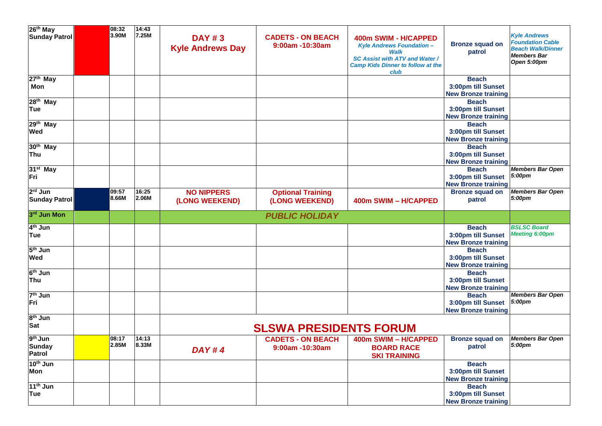| 26 <sup>th</sup> May                                  | 08:32<br>3.90M | 14:43<br>7.25M |                                          |                                             |                                                                                                                                                                      |                                                                  | <b>Kyle Andrews</b>                                                                      |
|-------------------------------------------------------|----------------|----------------|------------------------------------------|---------------------------------------------|----------------------------------------------------------------------------------------------------------------------------------------------------------------------|------------------------------------------------------------------|------------------------------------------------------------------------------------------|
| <b>Sunday Patrol</b>                                  |                |                | <b>DAY #3</b><br><b>Kyle Andrews Day</b> | <b>CADETS - ON BEACH</b><br>9:00am -10:30am | 400m SWIM - H/CAPPED<br><b>Kyle Andrews Foundation -</b><br><b>Walk</b><br><b>SC Assist with ATV and Water /</b><br><b>Camp Kids Dinner to follow at the</b><br>club | <b>Bronze squad on</b><br>patrol                                 | <b>Foundation Cable</b><br><b>Beach Walk/Dinner</b><br><b>Members Bar</b><br>Open 5:00pm |
| 27 <sup>th</sup> May<br>Mon                           |                |                |                                          |                                             |                                                                                                                                                                      | <b>Beach</b><br>3:00pm till Sunset<br><b>New Bronze training</b> |                                                                                          |
| 28 <sup>th</sup> May<br>Tue                           |                |                |                                          |                                             |                                                                                                                                                                      | <b>Beach</b><br>3:00pm till Sunset<br><b>New Bronze training</b> |                                                                                          |
| 29 <sup>th</sup> May<br><b>Wed</b>                    |                |                |                                          |                                             |                                                                                                                                                                      | <b>Beach</b><br>3:00pm till Sunset<br><b>New Bronze training</b> |                                                                                          |
| 30 <sup>th</sup> May<br>Thu                           |                |                |                                          |                                             |                                                                                                                                                                      | <b>Beach</b><br>3:00pm till Sunset<br><b>New Bronze training</b> |                                                                                          |
| 31 <sup>st</sup> May<br>Fri                           |                |                |                                          |                                             |                                                                                                                                                                      | <b>Beach</b><br>3:00pm till Sunset<br><b>New Bronze training</b> | <b>Members Bar Open</b><br>5:00pm                                                        |
| 2 <sup>rd</sup> Jun<br><b>Sunday Patrol</b>           | 09:57<br>8.66M | 16:25<br>2.06M | <b>NO NIPPERS</b><br>(LONG WEEKEND)      | <b>Optional Training</b><br>(LONG WEEKEND)  | 400m SWIM - H/CAPPED                                                                                                                                                 | <b>Bronze squad on</b><br>patrol                                 | <b>Members Bar Open</b><br>5:00pm                                                        |
| 3rd Jun Mon                                           |                |                |                                          | <b>PUBLIC HOLIDAY</b>                       |                                                                                                                                                                      |                                                                  |                                                                                          |
| 4 <sup>th</sup> Jun<br>Tue                            |                |                |                                          |                                             |                                                                                                                                                                      | <b>Beach</b><br>3:00pm till Sunset<br><b>New Bronze training</b> | <b>BSLSC Board</b><br><b>Meeting 6:00pm</b>                                              |
| 5 <sup>th</sup> Jun<br><b>Wed</b>                     |                |                |                                          |                                             |                                                                                                                                                                      | <b>Beach</b><br>3:00pm till Sunset<br><b>New Bronze training</b> |                                                                                          |
| $6th$ Jun<br>Thu                                      |                |                |                                          |                                             |                                                                                                                                                                      | <b>Beach</b><br>3:00pm till Sunset<br><b>New Bronze training</b> |                                                                                          |
| $7th$ Jun<br>Fri                                      |                |                |                                          |                                             |                                                                                                                                                                      | <b>Beach</b><br>3:00pm till Sunset<br><b>New Bronze training</b> | <b>Members Bar Open</b><br>5:00pm                                                        |
| $8th$ Jun<br><b>Sat</b>                               |                |                |                                          | <b>SLSWA PRESIDENTS FORUM</b>               |                                                                                                                                                                      |                                                                  |                                                                                          |
| 9 <sup>th</sup> Jun<br><b>Sunday</b><br><b>Patrol</b> | 08:17<br>2.85M | 14:13<br>8.33M | DAY#4                                    | <b>CADETS - ON BEACH</b><br>9:00am -10:30am | 400m SWIM - H/CAPPED<br><b>BOARD RACE</b><br><b>SKI TRAINING</b>                                                                                                     | <b>Bronze squad on</b><br>patrol                                 | <b>Members Bar Open</b><br>5:00pm                                                        |
| 10 <sup>th</sup> Jun<br>Mon                           |                |                |                                          |                                             |                                                                                                                                                                      | <b>Beach</b><br>3:00pm till Sunset<br><b>New Bronze training</b> |                                                                                          |
| 11 <sup>th</sup> Jun<br>Tue                           |                |                |                                          |                                             |                                                                                                                                                                      | <b>Beach</b><br>3:00pm till Sunset<br><b>New Bronze training</b> |                                                                                          |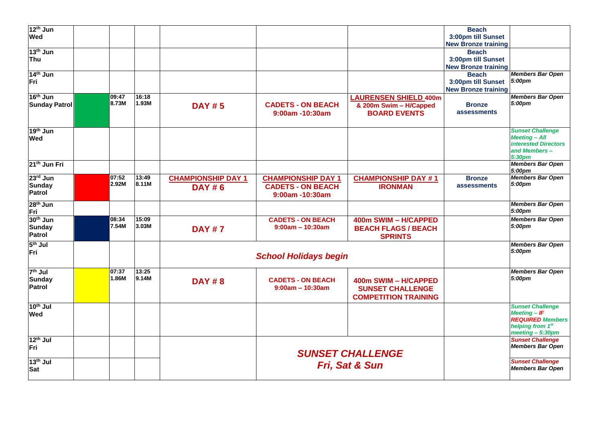| 12 <sup>th</sup> Jun        |       |       |                           |                              |                              | <b>Beach</b>                                     |                                            |
|-----------------------------|-------|-------|---------------------------|------------------------------|------------------------------|--------------------------------------------------|--------------------------------------------|
| Wed                         |       |       |                           |                              |                              | 3:00pm till Sunset<br><b>New Bronze training</b> |                                            |
| 13 <sup>th</sup> Jun        |       |       |                           |                              |                              | <b>Beach</b>                                     |                                            |
| <b>Thu</b>                  |       |       |                           |                              |                              | 3:00pm till Sunset                               |                                            |
|                             |       |       |                           |                              |                              | <b>New Bronze training</b>                       |                                            |
| 14 <sup>th</sup> Jun        |       |       |                           |                              |                              | <b>Beach</b>                                     | <b>Members Bar Open</b>                    |
| Fri                         |       |       |                           |                              |                              | 3:00pm till Sunset                               | 5:00pm                                     |
|                             |       |       |                           |                              |                              | <b>New Bronze training</b>                       |                                            |
| 16 <sup>th</sup> Jun        | 09:47 | 16:18 |                           |                              | <b>LAURENSEN SHIELD 400m</b> |                                                  | <b>Members Bar Open</b>                    |
| <b>Sunday Patrol</b>        | 8.73M | 1.93M | <b>DAY #5</b>             | <b>CADETS - ON BEACH</b>     | & 200m Swim - H/Capped       | <b>Bronze</b>                                    | 5:00pm                                     |
|                             |       |       |                           | 9:00am -10:30am              | <b>BOARD EVENTS</b>          | assessments                                      |                                            |
|                             |       |       |                           |                              |                              |                                                  |                                            |
| 19 <sup>th</sup> Jun        |       |       |                           |                              |                              |                                                  | <b>Sunset Challenge</b>                    |
| Wed                         |       |       |                           |                              |                              |                                                  | <b>Meeting - All</b>                       |
|                             |       |       |                           |                              |                              |                                                  | <b>interested Directors</b>                |
|                             |       |       |                           |                              |                              |                                                  | and Members-<br>5:30pm                     |
| 21 <sup>th</sup> Jun Fri    |       |       |                           |                              |                              |                                                  | <b>Members Bar Open</b>                    |
|                             |       |       |                           |                              |                              |                                                  | 5:00pm                                     |
| 23rd Jun                    | 07:52 | 13:49 | <b>CHAMPIONSHIP DAY 1</b> | <b>CHAMPIONSHIP DAY 1</b>    | <b>CHAMPIONSHIP DAY #1</b>   | <b>Bronze</b>                                    | <b>Members Bar Open</b>                    |
| <b>Sunday</b>               | 2.92M | 8.11M | <b>DAY #6</b>             | <b>CADETS - ON BEACH</b>     | <b>IRONMAN</b>               | assessments                                      | 5:00pm                                     |
| Patrol                      |       |       |                           | 9:00am -10:30am              |                              |                                                  |                                            |
| 28 <sup>th</sup> Jun        |       |       |                           |                              |                              |                                                  | <b>Members Bar Open</b>                    |
| Fri                         |       |       |                           |                              |                              |                                                  | 5:00pm                                     |
| 30 <sup>th</sup> Jun        | 08:34 | 15:09 |                           | <b>CADETS - ON BEACH</b>     | 400m SWIM - H/CAPPED         |                                                  | <b>Members Bar Open</b>                    |
| Sunday                      | 7.54M | 3.03M | <b>DAY #7</b>             | $9:00am - 10:30am$           | <b>BEACH FLAGS / BEACH</b>   |                                                  | 5:00pm                                     |
| <b>Patrol</b>               |       |       |                           |                              | <b>SPRINTS</b>               |                                                  |                                            |
| $5th$ Jul                   |       |       |                           |                              |                              |                                                  | <b>Members Bar Open</b>                    |
| Fri                         |       |       |                           | <b>School Holidays begin</b> |                              |                                                  | 5:00pm                                     |
|                             |       |       |                           |                              |                              |                                                  |                                            |
| $7th$ Jul                   | 07:37 | 13:25 |                           |                              |                              |                                                  | <b>Members Bar Open</b>                    |
| Sunday                      | 1.86M | 9.14M | <b>DAY #8</b>             | <b>CADETS - ON BEACH</b>     | 400m SWIM - H/CAPPED         |                                                  | 5:00pm                                     |
| Patrol                      |       |       |                           | $9:00am - 10:30am$           | <b>SUNSET CHALLENGE</b>      |                                                  |                                            |
|                             |       |       |                           |                              | <b>COMPETITION TRAINING</b>  |                                                  |                                            |
|                             |       |       |                           |                              |                              |                                                  |                                            |
| 10 <sup>th</sup> Jul<br>Wed |       |       |                           |                              |                              |                                                  | <b>Sunset Challenge</b><br>$M$ eeting - IF |
|                             |       |       |                           |                              |                              |                                                  | <b>REQUIRED Members</b>                    |
|                             |       |       |                           |                              |                              |                                                  | helping from 1st                           |
|                             |       |       |                           |                              |                              |                                                  | meeting - 5:30pm                           |
| $12th$ Jul                  |       |       |                           |                              |                              |                                                  | <b>Sunset Challenge</b>                    |
| Fri                         |       |       |                           |                              | <b>SUNSET CHALLENGE</b>      |                                                  | <b>Members Bar Open</b>                    |
| $13th$ Jul                  |       |       |                           |                              |                              |                                                  | <b>Sunset Challenge</b>                    |
| Sat                         |       |       |                           |                              | Fri, Sat & Sun               |                                                  | <b>Members Bar Open</b>                    |
|                             |       |       |                           |                              |                              |                                                  |                                            |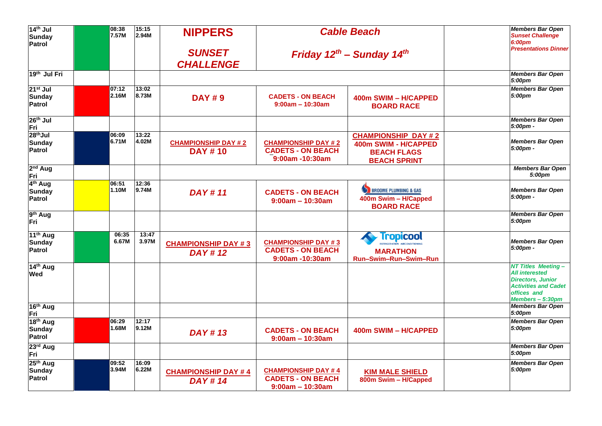| 14 <sup>th</sup> Jul<br>Sunday<br>Patrol               | 08:38<br>7.57M | 15:15<br>2.94M | <b>NIPPERS</b>                               |                                                                              | <b>Cable Beach</b>                                                                                 | <b>Members Bar Open</b><br><b>Sunset Challenge</b><br>6:00pm                                                                                     |
|--------------------------------------------------------|----------------|----------------|----------------------------------------------|------------------------------------------------------------------------------|----------------------------------------------------------------------------------------------------|--------------------------------------------------------------------------------------------------------------------------------------------------|
|                                                        |                |                | <b>SUNSET</b><br><b>CHALLENGE</b>            | Friday $12^{th}$ – Sunday $14^{th}$                                          |                                                                                                    | <b>Presentations Dinner</b>                                                                                                                      |
| 19 <sup>th</sup> Jul Fri                               |                |                |                                              |                                                                              |                                                                                                    | <b>Members Bar Open</b><br>5:00pm                                                                                                                |
| $21st$ Jul<br><b>Sunday</b><br>Patrol                  | 07:12<br>2.16M | 13:02<br>8.73M | <b>DAY #9</b>                                | <b>CADETS - ON BEACH</b><br>$9:00am - 10:30am$                               | 400m SWIM - H/CAPPED<br><b>BOARD RACE</b>                                                          | <b>Members Bar Open</b><br>5:00pm                                                                                                                |
| 26 <sup>th</sup> Jul<br>Fri                            |                |                |                                              |                                                                              |                                                                                                    | <b>Members Bar Open</b><br>5:00pm -                                                                                                              |
| 28 <sup>th</sup> Jul<br><b>Sunday</b><br><b>Patrol</b> | 06:09<br>6.71M | 13:22<br>4.02M | <b>CHAMPIONSHIP DAY #2</b><br><b>DAY #10</b> | <b>CHAMPIONSHIP DAY #2</b><br><b>CADETS - ON BEACH</b><br>$9:00$ am -10:30am | <b>CHAMPIONSHIP DAY #2</b><br>400m SWIM - H/CAPPED<br><b>BEACH FLAGS</b><br><b>BEACH SPRINT</b>    | <b>Members Bar Open</b><br>$5:00 \text{pm} -$                                                                                                    |
| 2 <sup>nd</sup> Aug<br>Fri                             |                |                |                                              |                                                                              |                                                                                                    | <b>Members Bar Open</b><br>5:00pm                                                                                                                |
| 4 <sup>th</sup> Aug<br><b>Sunday</b><br><b>Patrol</b>  | 06:51<br>1.10M | 12:36<br>9.74M | <b>DAY#11</b>                                | <b>CADETS - ON BEACH</b><br>$9:00am - 10:30am$                               | BROOME PLUMBING & GAS<br>400m Swim - H/Capped<br><b>BOARD RACE</b>                                 | <b>Members Bar Open</b><br>5:00pm -                                                                                                              |
| 9 <sup>th</sup> Aug<br>Fri                             |                |                |                                              |                                                                              |                                                                                                    | <b>Members Bar Open</b><br>5:00pm                                                                                                                |
| 11 <sup>th</sup> Aug<br><b>Sunday</b><br>Patrol        | 06:35<br>6.67M | 13:47<br>3.97M | <b>CHAMPIONSHIP DAY #3</b><br><b>DAY#12</b>  | <b>CHAMPIONSHIP DAY #3</b><br><b>CADETS - ON BEACH</b><br>9:00am -10:30am    | <b>Tropicool</b><br><b>REFRIGERATION - AIRCOMPITIC</b><br><b>MARATHON</b><br>Run-Swim-Run-Swim-Run | <b>Members Bar Open</b><br>$5:00 \text{pm} -$                                                                                                    |
| 14th Aug<br><b>Wed</b>                                 |                |                |                                              |                                                                              |                                                                                                    | <b>NT Titles Meeting-</b><br><b>All interested</b><br><b>Directors, Junior</b><br><b>Activities and Cadet</b><br>offices and<br>Members - 5:30pm |
| 16th Aug<br>Fri                                        |                |                |                                              |                                                                              |                                                                                                    | <b>Members Bar Open</b><br>5:00pm                                                                                                                |
| 18 <sup>th</sup> Aug<br>Sunday<br><b>Patrol</b>        | 06:29<br>1.68M | 12:17<br>9.12M | <b>DAY#13</b>                                | <b>CADETS - ON BEACH</b><br>$9:00am - 10:30am$                               | 400m SWIM - H/CAPPED                                                                               | <b>Members Bar Open</b><br>5:00pm                                                                                                                |
| 23rd Aug<br>Fri                                        |                |                |                                              |                                                                              |                                                                                                    | <b>Members Bar Open</b><br>5:00pm                                                                                                                |
| 25 <sup>th</sup> Aug<br><b>Sunday</b><br>Patrol        | 09:52<br>3.94M | 16:09<br>6.22M | <b>CHAMPIONSHIP DAY #4</b><br><b>DAY#14</b>  | <b>CHAMPIONSHIP DAY #4</b><br><b>CADETS - ON BEACH</b><br>$9:00am - 10:30am$ | <b>KIM MALE SHIELD</b><br>800m Swim - H/Capped                                                     | <b>Members Bar Open</b><br>5:00pm                                                                                                                |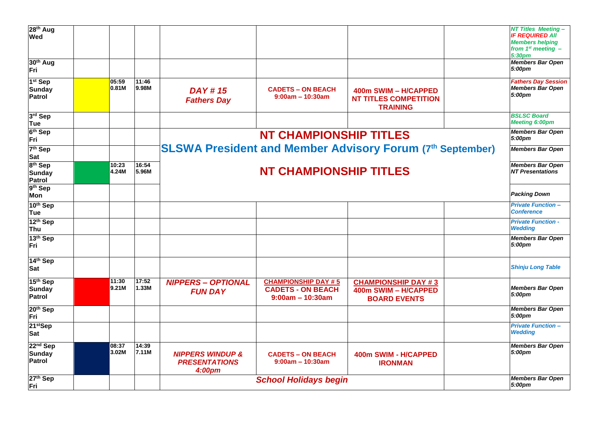| 28 <sup>th</sup> Aug<br>Wed                           |                |                |                                                               |                                                                              |                                                                           | <b>NT Titles Meeting -</b><br><b>IF REQUIRED AII</b><br><b>Members helping</b><br>from $1^{st}$ meeting $-$<br>5:30 <sub>pm</sub> |
|-------------------------------------------------------|----------------|----------------|---------------------------------------------------------------|------------------------------------------------------------------------------|---------------------------------------------------------------------------|-----------------------------------------------------------------------------------------------------------------------------------|
| 30 <sup>th</sup> Aug<br>Fri                           |                |                |                                                               |                                                                              |                                                                           | <b>Members Bar Open</b><br>5:00pm                                                                                                 |
| 1 <sup>st</sup> Sep<br><b>Sunday</b><br><b>Patrol</b> | 05:59<br>0.81M | 11:46<br>9.98M | <b>DAY#15</b><br><b>Fathers Day</b>                           | <b>CADETS - ON BEACH</b><br>$9:00am - 10:30am$                               | 400m SWIM - H/CAPPED<br><b>NT TITLES COMPETITION</b><br><b>TRAINING</b>   | <b>Fathers Day Session</b><br><b>Members Bar Open</b><br>5:00pm                                                                   |
| 3rd Sep<br>Tue                                        |                |                |                                                               |                                                                              |                                                                           | <b>BSLSC Board</b><br><b>Meeting 6:00pm</b>                                                                                       |
| 6 <sup>th</sup> Sep<br>Fri                            |                |                |                                                               | <b>NT CHAMPIONSHIP TITLES</b>                                                |                                                                           | <b>Members Bar Open</b><br>5:00pm                                                                                                 |
| 7 <sup>th</sup> Sep<br><b>Sat</b>                     |                |                |                                                               |                                                                              | <b>SLSWA President and Member Advisory Forum (7th September)</b>          | <b>Members Bar Open</b>                                                                                                           |
| 8 <sup>th</sup> Sep<br><b>Sunday</b><br><b>Patrol</b> | 10:23<br>4.24M | 16:54<br>5.96M |                                                               | <b>NT CHAMPIONSHIP TITLES</b>                                                |                                                                           | <b>Members Bar Open</b><br><b>NT Presentations</b>                                                                                |
| 9th Sep<br>Mon                                        |                |                |                                                               |                                                                              |                                                                           | <b>Packing Down</b>                                                                                                               |
| 10th Sep<br>Tue                                       |                |                |                                                               |                                                                              |                                                                           | <b>Private Function-</b><br><b>Conference</b>                                                                                     |
| 12 <sup>th</sup> Sep<br>Thu                           |                |                |                                                               |                                                                              |                                                                           | <b>Private Function -</b><br><b>Wedding</b>                                                                                       |
| 13 <sup>th</sup> Sep<br>Fri                           |                |                |                                                               |                                                                              |                                                                           | <b>Members Bar Open</b><br>5:00pm                                                                                                 |
| 14th Sep<br><b>Sat</b>                                |                |                |                                                               |                                                                              |                                                                           | <b>Shinju Long Table</b>                                                                                                          |
| 15 <sup>th</sup> Sep<br><b>Sunday</b><br>Patrol       | 11:30<br>9.21M | 17:52<br>1.33M | <b>NIPPERS - OPTIONAL</b><br><b>FUN DAY</b>                   | <b>CHAMPIONSHIP DAY #5</b><br><b>CADETS - ON BEACH</b><br>$9:00am - 10:30am$ | <b>CHAMPIONSHIP DAY #3</b><br>400m SWIM - H/CAPPED<br><b>BOARD EVENTS</b> | <b>Members Bar Open</b><br>5:00pm                                                                                                 |
| 20 <sup>th</sup> Sep<br>Fri                           |                |                |                                                               |                                                                              |                                                                           | <b>Members Bar Open</b><br>5:00pm                                                                                                 |
| 21 <sup>st</sup> Sep<br><b>Sat</b>                    |                |                |                                                               |                                                                              |                                                                           | <b>Private Function-</b><br><b>Wedding</b>                                                                                        |
| 22 <sup>nd</sup> Sep<br>Sunday<br>Patrol              | 08:37<br>3.02M | 14:39<br>7.11M | <b>NIPPERS WINDUP &amp;</b><br><b>PRESENTATIONS</b><br>4:00pm | <b>CADETS - ON BEACH</b><br>$9:00am - 10:30am$                               | 400m SWIM - H/CAPPED<br><b>IRONMAN</b>                                    | <b>Members Bar Open</b><br>5:00pm                                                                                                 |
| 27th Sep<br>Fri                                       |                |                |                                                               | <b>School Holidays begin</b>                                                 |                                                                           | <b>Members Bar Open</b><br>5:00pm                                                                                                 |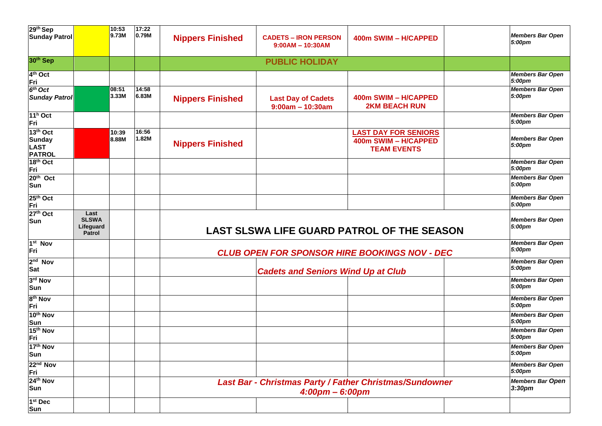| 29th Sep<br><b>Sunday Patrol</b>                                      |                                                    | 10:53<br>9.73M | 17:22<br>0.79M | <b>Nippers Finished</b> | <b>CADETS – IRON PERSON</b>                     | 400m SWIM - H/CAPPED                                                      | <b>Members Bar Open</b>                       |
|-----------------------------------------------------------------------|----------------------------------------------------|----------------|----------------|-------------------------|-------------------------------------------------|---------------------------------------------------------------------------|-----------------------------------------------|
|                                                                       |                                                    |                |                |                         | $9:00AM - 10:30AM$                              |                                                                           | 5:00pm                                        |
| 30 <sup>th</sup> Sep                                                  |                                                    |                |                |                         | <b>PUBLIC HOLIDAY</b>                           |                                                                           |                                               |
| 4 <sup>th</sup> Oct<br><b>Fri</b>                                     |                                                    |                |                |                         |                                                 |                                                                           | <b>Members Bar Open</b><br>5:00pm             |
| $6th$ Oct<br><b>Sunday Patrol</b>                                     |                                                    | 08:51<br>3.33M | 14:58<br>6.83M | <b>Nippers Finished</b> | <b>Last Day of Cadets</b><br>$9:00am - 10:30am$ | 400m SWIM - H/CAPPED<br><b>2KM BEACH RUN</b>                              | <b>Members Bar Open</b><br>5:00pm             |
| $11h$ Oct<br>Fri                                                      |                                                    |                |                |                         |                                                 |                                                                           | <b>Members Bar Open</b><br>5:00pm             |
| 13 <sup>th</sup> Oct<br><b>Sunday</b><br><b>LAST</b><br><b>PATROL</b> |                                                    | 10:39<br>8.88M | 16:56<br>1.82M | <b>Nippers Finished</b> |                                                 | <b>LAST DAY FOR SENIORS</b><br>400m SWIM - H/CAPPED<br><b>TEAM EVENTS</b> | <b>Members Bar Open</b><br>5:00pm             |
| 18 <sup>th</sup> Oct<br>Fri                                           |                                                    |                |                |                         |                                                 |                                                                           | <b>Members Bar Open</b><br>5:00pm             |
| $20th$ Oct<br>Sun                                                     |                                                    |                |                |                         |                                                 |                                                                           | <b>Members Bar Open</b><br>5:00pm             |
| 25 <sup>th</sup> Oct                                                  |                                                    |                |                |                         |                                                 |                                                                           | <b>Members Bar Open</b><br>5:00pm             |
| Fri<br>27 <sup>th</sup> Oct<br>Sun                                    | Last<br><b>SLSWA</b><br>Lifeguard<br><b>Patrol</b> |                |                |                         |                                                 | LAST SLSWA LIFE GUARD PATROL OF THE SEASON                                | <b>Members Bar Open</b><br>5:00pm             |
| $1st$ Nov<br>Fri                                                      |                                                    |                |                |                         |                                                 | <b>CLUB OPEN FOR SPONSOR HIRE BOOKINGS NOV - DEC</b>                      | <b>Members Bar Open</b><br>5:00pm             |
| 2 <sup>nd</sup> Nov<br>Sat                                            |                                                    |                |                |                         | <b>Cadets and Seniors Wind Up at Club</b>       |                                                                           | <b>Members Bar Open</b><br>5:00pm             |
| 3rd Nov<br>Sun                                                        |                                                    |                |                |                         |                                                 |                                                                           | <b>Members Bar Open</b><br>5:00pm             |
| 8 <sup>th</sup> Nov<br>Fri                                            |                                                    |                |                |                         |                                                 |                                                                           | <b>Members Bar Open</b><br>5:00pm             |
| 10th Nov                                                              |                                                    |                |                |                         |                                                 |                                                                           | <b>Members Bar Open</b><br>5:00pm             |
| Sun<br>15 <sup>th</sup> Nov<br>Fri                                    |                                                    |                |                |                         |                                                 |                                                                           | <b>Members Bar Open</b><br>5:00pm             |
| 17th Nov<br>Sun                                                       |                                                    |                |                |                         |                                                 |                                                                           | <b>Members Bar Open</b><br>5:00pm             |
| 22 <sup>nd</sup> Nov<br>Fri                                           |                                                    |                |                |                         |                                                 |                                                                           | <b>Members Bar Open</b><br>5:00pm             |
| 24th Nov<br>Sun                                                       |                                                    |                |                |                         | $4:00 \text{pm} - 6:00 \text{pm}$               | Last Bar - Christmas Party / Father Christmas/Sundowner                   | <b>Members Bar Open</b><br>3:30 <sub>pm</sub> |
| $1st$ Dec<br>Sun                                                      |                                                    |                |                |                         |                                                 |                                                                           |                                               |